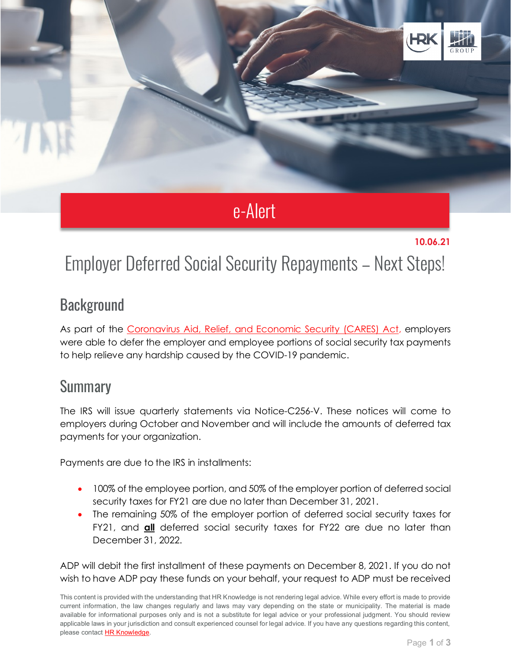

# e-Alert

#### **10.06.21**

## Employer Deferred Social Security Repayments – Next Steps!

#### **Background**

As part of the [Coronavirus Aid, Relief, and Economic Security \(CARES\) Act,](https://oig.treasury.gov/cares-act) employers were able to defer the employer and employee portions of social security tax payments to help relieve any hardship caused by the COVID-19 pandemic.

#### **Summary**

The IRS will issue quarterly statements via Notice-C256-V. These notices will come to employers during October and November and will include the amounts of deferred tax payments for your organization.

Payments are due to the IRS in installments:

- 100% of the employee portion, and 50% of the employer portion of deferred social security taxes for FY21 are due no later than December 31, 2021.
- The remaining 50% of the employer portion of deferred social security taxes for FY21, and **all** deferred social security taxes for FY22 are due no later than December 31, 2022.

ADP will debit the first installment of these payments on December 8, 2021. If you do not wish to have ADP pay these funds on your behalf, your request to ADP must be received

This content is provided with the understanding that HR Knowledge is not rendering legal advice. While every effort is made to provide current information, the law changes regularly and laws may vary depending on the state or municipality. The material is made available for informational purposes only and is not a substitute for legal advice or your professional judgment. You should review applicable laws in your jurisdiction and consult experienced counsel for legal advice. If you have any questions regarding this content, please contact [HR Knowledge.](mailto:marketing@hrknowledge.com)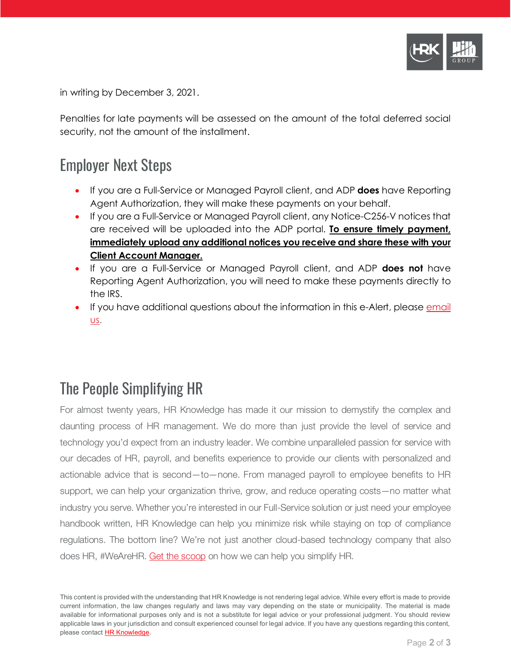

in writing by December 3, 2021.

Penalties for late payments will be assessed on the amount of the total deferred social security, not the amount of the installment.

#### Employer Next Steps

- If you are a Full-Service or Managed Payroll client, and ADP **does** have Reporting Agent Authorization, they will make these payments on your behalf.
- If you are a Full-Service or Managed Payroll client, any Notice-C256-V notices that are received will be uploaded into the ADP portal. **To ensure timely payment, immediately upload any additional notices you receive and share these with your Client Account Manager.**
- If you are a Full-Service or Managed Payroll client, and ADP **does not** have Reporting Agent Authorization, you will need to make these payments directly to the IRS.
- If you have additional questions about the information in this e-Alert, please email [us.](mailto:info@hrknowledge.com)

### The People Simplifying HR

For almost twenty years, HR Knowledge has made it our mission to demystify the complex and daunting process of HR management. We do more than just provide the level of service and technology you'd expect from an industry leader. We combine unparalleled passion for service with our decades of HR, payroll, and benefits experience to provide our clients with personalized and actionable advice that is second—to—none. From managed payroll to employee benefits to HR support, we can help your organization thrive, grow, and reduce operating costs—no matter what industry you serve. Whether you're interested in our Full-Service solution or just need your employee handbook written, HR Knowledge can help you minimize risk while staying on top of compliance regulations. The bottom line? We're not just another cloud-based technology company that also does HR, #WeAreHR. [Get the scoop](http://www.hrknowledge.com/getthescoop/) on how we can help you simplify HR.

This content is provided with the understanding that HR Knowledge is not rendering legal advice. While every effort is made to provide current information, the law changes regularly and laws may vary depending on the state or municipality. The material is made available for informational purposes only and is not a substitute for legal advice or your professional judgment. You should review applicable laws in your jurisdiction and consult experienced counsel for legal advice. If you have any questions regarding this content, please contact [HR Knowledge.](mailto:marketing@hrknowledge.com)